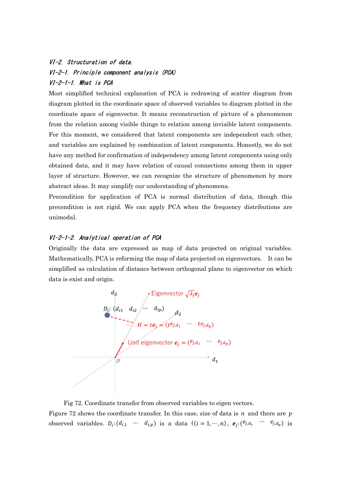# VI-2. Structuration of data. VI-2-1. Principle component analysis (PCA) VI-2-1-1. What is PCA

Most simplified technical explanation of PCA is redrawing of scatter diagram from diagram plotted in the coordinate space of observed variables to diagram plotted in the coordinate space of eigenvector. It means reconstruction of picture of a phenomenon from the relation among visible things to relation among invisible latent components. For this moment, we considered that latent components are independent each other, and variables are explained by combination of latent components. Honestly, we do not have any method for confirmation of independency among latent components using only obtained data, and it may have relation of causal connections among them in upper layer of structure. However, we can recognize the structure of phenomenon by more abstract ideas. It may simplify our understanding of phenomena.

Precondition for application of PCA is normal distribution of data, though this precondition is not rigid. We can apply PCA when the frequency distributions are unimodal.

# VI-2-1-2. Analytical operation of PCA

Originally the data are expressed as map of data projected on original variables. Mathematically, PCA is reforming the map of data projected on eigenvectors. It can be simplified as calculation of distance between orthogonal plane to eigenvector on which data is exist and origin.



Fig 72. Coordinate transfer from observed variables to eigen vectors.

Figure 72 shows the coordinate transfer. In this case, size of data is  $n$  and there are  $p$ observed variables.  $D_i$ :  $(d_{i,1} \cdots d_{i,p})$  is a data  $((i = 1, \cdots, n), e_j$ :  $(e_{i,d_1} \cdots e_{i,d_p})$  is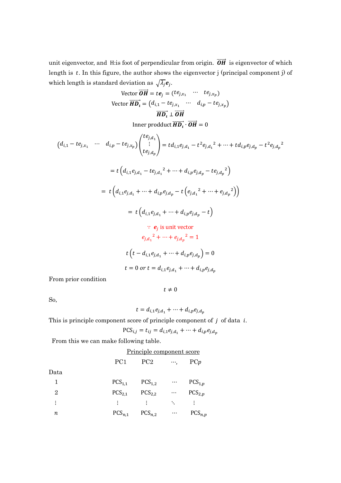unit eigenvector, and H:is foot of perpendicular from origin.  $\overrightarrow{OH}$  is eigenvector of which length is  $t$ . In this figure, the author shows the eigenvector j (principal component j) of which length is standard deviation as  $\sqrt{\lambda_j}e_j$ .

Vector 
$$
\overrightarrow{OH} = te_j = (te_{j,x_1} \cdots te_{j,x_p})
$$
  
\nVector  $\overrightarrow{HD_i} = (d_{i,1} - te_{j,x_1} \cdots d_{i,p} - te_{j,x_p})$   
\n $\overrightarrow{HD_i} \perp \overrightarrow{OH}$ 

Inner prodduct  $\overrightarrow{HD_i} \cdot \overrightarrow{OH} = 0$ 

$$
(d_{i,1} - te_{j,x_1} \cdots d_{i,p} - te_{j,x_p})\binom{te_{j,d_1}}{te_{j,d_p}} = td_{i,1}e_{j,d_1} - t^2e_{j,d_1}^2 + \cdots + td_{i,p}e_{j,d_p} - t^2e_{j,d_p}^2
$$
  

$$
= t\left(d_{i,1}e_{j,d_1} - te_{j,d_1}^2 + \cdots + d_{i,p}e_{j,d_p} - te_{j,d_p}^2\right)
$$
  

$$
= t\left(d_{i,1}e_{j,d_1} + \cdots + d_{i,p}e_{j,d_p} - t\left(e_{j,d_1}^2 + \cdots + e_{j,d_p}^2\right)\right)
$$
  

$$
= t\left(d_{i,1}e_{j,d_1} + \cdots + d_{i,p}e_{j,d_p} - t\right)
$$
  

$$
\therefore e_j \text{ is unit vector}
$$
  

$$
e_{j,d_1}^2 + \cdots + e_{j,d_p}^2 = 1
$$
  

$$
t\left(t - d_{i,1}e_{j,d_1} + \cdots + d_{i,p}e_{j,d_p}\right) = 0
$$
  

$$
t = 0 \text{ or } t = d_{i,1}e_{j,d_1} + \cdots + d_{i,p}e_{j,d_p}
$$

From prior condition

 $t\neq 0$ 

So,

$$
t = d_{i,1}e_{j,d_1} + \dots + d_{i,p}e_{j,d_p}
$$

This is principle component score of principle component of  $j$  of data  $i$ .

$$
PCS_{i,j} = t_{ij} = d_{i,1}e_{j,d_1} + \dots + d_{i,p}e_{j,d_p}
$$

From this we can make following table.

### Principle component score

|                | PC <sub>1</sub> | PC <sub>2</sub> | $\cdots$ | PCp         |
|----------------|-----------------|-----------------|----------|-------------|
| Data           |                 |                 |          |             |
|                | $PCS_{1,1}$     | $PCS_{1,2}$     | $\cdots$ | $PCS_{1,p}$ |
| $\overline{2}$ | $PCS_{2,1}$     | $PCS_{2,2}$     | $\ldots$ | $PCS_{2,p}$ |
| $\vdots$       | $\ddot{\cdot}$  | ÷               | ٠.       | ÷           |
| п              | $PCS_{n,1}$     | $PCS_{n,2}$     | $\ldots$ | $PCS_{n,p}$ |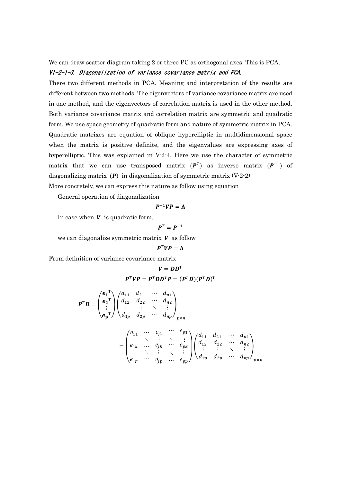We can draw scatter diagram taking 2 or three PC as orthogonal axes. This is PCA.

#### VI-2-1-3. Diagonalization of variance covariance matrix and PCA.

There two different methods in PCA. Meaning and interpretation of the results are different between two methods. The eigenvectors of variance covariance matrix are used in one method, and the eigenvectors of correlation matrix is used in the other method. Both variance covariance matrix and correlation matrix are symmetric and quadratic form. We use space geometry of quadratic form and nature of symmetric matrix in PCA. Quadratic matrixes are equation of oblique hyperelliptic in multidimensional space when the matrix is positive definite, and the eigenvalues are expressing axes of hyperelliptic. This was explained in V-2-4. Here we use the character of symmetric matrix that we can use transposed matrix  $(P^T)$  as inverse matrix  $(P^{-1})$  of diagonalizing matrix  $(P)$  in diagonalization of symmetric matrix  $(V-2-2)$ 

More concretely, we can express this nature as follow using equation

General operation of diagonalization

$$
P^{-1}VP=\Lambda
$$

In case when  $V$  is quadratic form,

$$
\boldsymbol{P}^T = \boldsymbol{P}^{-1}
$$

we can diagonalize symmetric matrix  $V$  as follow

$$
P^T VP = \Lambda
$$

From definition of variance covariance matrix

$$
V = DDT
$$

$$
PTVP = PTDDTP = (PTD)(PTD)T
$$

$$
P^T D = \begin{pmatrix} e_1^T \\ e_2^T \\ \vdots \\ e_p^T \end{pmatrix} \begin{pmatrix} d_{11} & d_{21} & \cdots & d_{n1} \\ d_{12} & d_{22} & \cdots & d_{n2} \\ \vdots & \vdots & \ddots & \vdots \\ d_{1p} & d_{2p} & \cdots & d_{np} \end{pmatrix}_{p \times n}
$$
  
= 
$$
\begin{pmatrix} e_{11} & \cdots & e_{j1} & \cdots & e_{p1} \\ \vdots & \ddots & \vdots & \ddots & \vdots \\ e_{1k} & \cdots & e_{jk} & \cdots & e_{pk} \\ \vdots & \ddots & \vdots & \ddots & \vdots \\ e_{1p} & \cdots & e_{jp} & \cdots & e_{pp} \end{pmatrix} \begin{pmatrix} d_{11} & d_{21} & \cdots & d_{n1} \\ d_{12} & d_{22} & \cdots & d_{n2} \\ \vdots & \vdots & \ddots & \vdots \\ d_{1p} & d_{2p} & \cdots & d_{np} \end{pmatrix}_{p \times n}
$$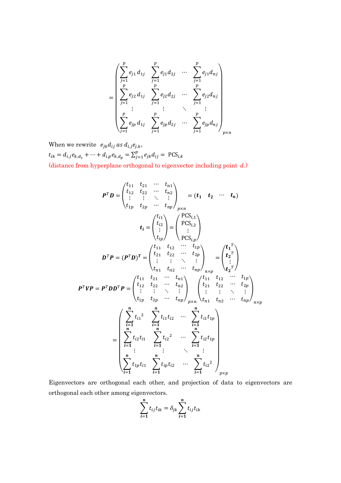$$
= \begin{pmatrix} \sum_{j=1}^{p} e_{j1} d_{1j} & \sum_{j=1}^{p} e_{j1} d_{2j} & \cdots & \sum_{j=1}^{p} e_{j1} d_{nj} \\ \sum_{j=1}^{p} e_{j2} d_{1j} & \sum_{j=1}^{p} e_{j2} d_{2j} & \cdots & \sum_{j=1}^{p} e_{j2} d_{nj} \\ \vdots & \vdots & \ddots & \vdots \\ \sum_{j=1}^{p} e_{jp} d_{1j} & \sum_{j=1}^{p} e_{jp} d_{2j} & \cdots & \sum_{j=1}^{p} e_{jp} d_{nj} \\ \end{pmatrix}_{p \times n}
$$

When we rewrite  $e_{jk}d_{ij}$  as  $d_{i,j}e_{j,k}$ ,  $t_{ik} = d_{i,j} e_{k,d_1} + \dots + d_{i,p} e_{k,d_p} = \sum_{j=1}^p e_{jk} d_{ij} = \text{PCS}_{i,k}$ (distance from hyperplane orthogonal to eigenvector including point  $d$ .)

$$
P^T D = \begin{pmatrix} t_{11} & t_{21} & \cdots & t_{n1} \\ t_{12} & t_{22} & \cdots & t_{n2} \\ \vdots & \vdots & \ddots & \vdots \\ t_{1p} & t_{2p} & \cdots & t_{np} \end{pmatrix}_{p \times n} = (t_1 \quad t_2 \quad \cdots \quad t_n)
$$
  
\n
$$
t_i = \begin{pmatrix} t_{i1} \\ t_{i2} \\ \vdots \\ t_{ip} \end{pmatrix} = \begin{pmatrix} PCS_{i,1} \\ PCS_{i,2} \\ \vdots \\ PCS_{ip} \end{pmatrix}
$$
  
\n
$$
D^T P = (P^T D)^T = \begin{pmatrix} t_{11} & t_{12} & \cdots & t_{1p} \\ t_{21} & t_{22} & \cdots & t_{2p} \\ \vdots & \vdots & \ddots & \vdots \\ t_{n1} & t_{n2} & \cdots & t_{np} \end{pmatrix}_{n \times p} = \begin{pmatrix} t_1^T \\ t_2^T \\ \vdots \\ t_2^T \end{pmatrix}
$$
  
\n
$$
P^T VP = P^T D D^T P = \begin{pmatrix} t_{11} & t_{21} & \cdots & t_{n1} \\ t_{12} & t_{22} & \cdots & t_{n2} \\ \vdots & \vdots & \ddots & \vdots \\ t_{1p} & t_{2p} & \cdots & t_{np} \end{pmatrix}_{p \times n} \begin{pmatrix} t_{11} & t_{12} & \cdots & t_{1p} \\ t_{21} & t_{22} & \cdots & t_{2p} \\ t_{21} & t_{22} & \cdots & t_{2p} \\ \vdots & \vdots & \ddots & \vdots \\ t_{n1} & t_{n2} & \cdots & t_{np} \end{pmatrix}_{n \times p}
$$
  
\n
$$
= \begin{pmatrix} \sum_{i=1}^{n} t_{i1}^2 & \sum_{i=1}^{n} t_{i1} t_{i2} & \cdots & \sum_{i=1}^{n} t_{i1} t_{i1} \\ \sum_{i=1}^{n} t_{i2} t_{i1} & \sum_{i=1}^{n} t_{i2}^2 & \cdots & \sum_{i=1}^{n} t_{i2} t_{i1} \\ \vdots & \vdots & \ddots
$$

Eigenvectors are orthogonal each other, and projection of data to eigenvectors are orthogonal each other among eigenvectors.

$$
\sum_{i=1}^{n} t_{ij} t_{ik} = \delta_{jk} \sum_{i=1}^{n} t_{ij} t_{ik}
$$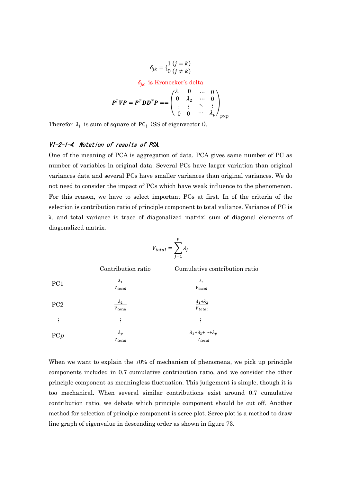$$
\delta_{jk} = \begin{Bmatrix} 1 & (j = k) \\ 0 & (j \neq k) \end{Bmatrix}
$$

$$
\delta_{jk} \text{ is Kronecker's delta}
$$

$$
\mathbf{P}^T \mathbf{V} \mathbf{P} = \mathbf{P}^T \mathbf{D} \mathbf{D}^T \mathbf{P} = = \begin{pmatrix} \lambda_1 & 0 & \cdots & 0 \\ 0 & \lambda_2 & \cdots & 0 \\ \vdots & \vdots & \ddots & \vdots \\ 0 & 0 & \cdots & \lambda_p \end{pmatrix}_{p \times p}
$$

Therefor  $\lambda_i$  is sum of square of PC<sub>i</sub> (SS of eigenvector i).

### VI-2-1-4. Notation of results of PCA.

One of the meaning of PCA is aggregation of data. PCA gives same number of PC as number of variables in original data. Several PCs have larger variation than original variances data and several PCs have smaller variances than original variances. We do not need to consider the impact of PCs which have weak influence to the phenomenon. For this reason, we have to select important PCs at first. In of the criteria of the selection is contribution ratio of principle component to total valiance. Variance of PC is λ, and total variance is trace of diagonalized matrix: sum of diagonal elements of diagonalized matrix.

$$
V_{total} = \sum_{j=1}^{p} \lambda_j
$$

Contribution ratio Cumulative contribution ratio

|                 | $V_{total}$                   | $\boldsymbol{V}_{total}$                     |
|-----------------|-------------------------------|----------------------------------------------|
| PCp             | $\lambda_p$                   | $\lambda_1 + \lambda_2 + \cdots + \lambda_p$ |
|                 | ፡                             |                                              |
| PC <sub>2</sub> | $\frac{\lambda_2}{V_{total}}$ | $\frac{\lambda_1+\lambda_2}{V_{total}}$      |
| PC1             | $\lambda_1$<br>$V_{total}$    | $\lambda_1$<br>$V_{total}$                   |

When we want to explain the 70% of mechanism of phenomena, we pick up principle components included in 0.7 cumulative contribution ratio, and we consider the other principle component as meaningless fluctuation. This judgement is simple, though it is too mechanical. When several similar contributions exist around 0.7 cumulative contribution ratio, we debate which principle component should be cut off. Another method for selection of principle component is scree plot. Scree plot is a method to draw line graph of eigenvalue in descending order as shown in figure 73.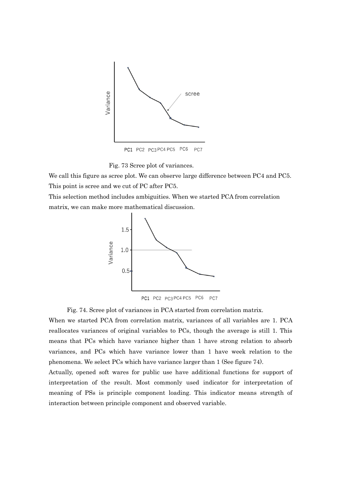

Fig. 73 Scree plot of variances.

We call this figure as scree plot. We can observe large difference between PC4 and PC5. This point is scree and we cut of PC after PC5.

This selection method includes ambiguities. When we started PCA from correlation matrix, we can make more mathematical discussion.



Fig. 74. Scree plot of variances in PCA started from correlation matrix.

When we started PCA from correlation matrix, variances of all variables are 1. PCA reallocates variances of original variables to PCs, though the average is still 1. This means that PCs which have variance higher than 1 have strong relation to absorb variances, and PCs which have variance lower than 1 have week relation to the phenomena. We select PCs which have variance larger than 1 (See figure 74).

Actually, opened soft wares for public use have additional functions for support of interpretation of the result. Most commonly used indicator for interpretation of meaning of PSs is principle component loading. This indicator means strength of interaction between principle component and observed variable.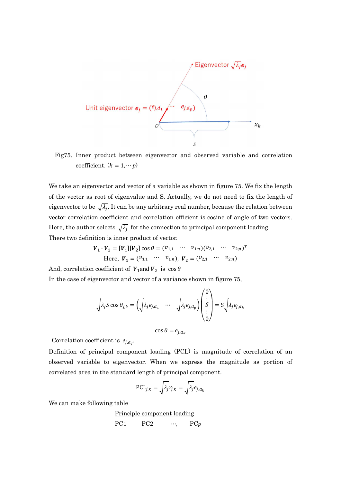

 Fig75. Inner product between eigenvector and observed variable and correlation coefficient.  $(k = 1, \cdots p)$ 

We take an eigenvector and vector of a variable as shown in figure 75. We fix the length of the vector as root of eigenvalue and S. Actually, we do not need to fix the length of eigenvector to be  $\sqrt{\lambda_j}$ . It can be any arbitrary real number, because the relation between vector correlation coefficient and correlation efficient is cosine of angle of two vectors. Here, the author selects  $\sqrt{\lambda_j}$  for the connection to principal component loading. There two definition is inner product of vector.

$$
\mathbf{V}_1 \cdot \mathbf{V}_2 = [\mathbf{V}_1] [\mathbf{V}_2] \cos \theta = (v_{1,1} \cdots v_{1,n}) (v_{2,1} \cdots v_{2,n})^T
$$
  
Here,  $\mathbf{V}_1 = (v_{1,1} \cdots v_{1,n}), \mathbf{V}_2 = (v_{2,1} \cdots v_{2,n})$ 

And, correlation coefficient of  $V_1$  and  $V_2$  is  $\cos\theta$ 

In the case of eigenvector and vector of a variance shown in figure 75,

$$
\sqrt{\lambda_j} S \cos \theta_{j,k} = \left(\sqrt{\lambda_j} e_{j,d_1} \quad \cdots \quad \sqrt{\lambda_j} e_{j,d_p}\right) \begin{pmatrix} 0 \\ \vdots \\ S \\ \vdots \\ 0 \end{pmatrix} = S \sqrt{\lambda_j} e_{j,d_k}
$$
\n
$$
\cos \theta = e_{j,d_k}
$$

Correlation coefficient is  $e_{j,d_j}$ ,

Definition of principal component loading (PCL) is magnitude of correlation of an observed variable to eigenvector. When we express the magnitude as portion of correlated area in the standard length of principal component.

$$
\text{PCL}_{j,k} = \sqrt{\lambda_j} r_{j,k} = \sqrt{\lambda_j} e_{j,d_k}
$$

We can make following table

# Principle component loading

$$
PC1 \tPC2 \t\cdots, \tPCp
$$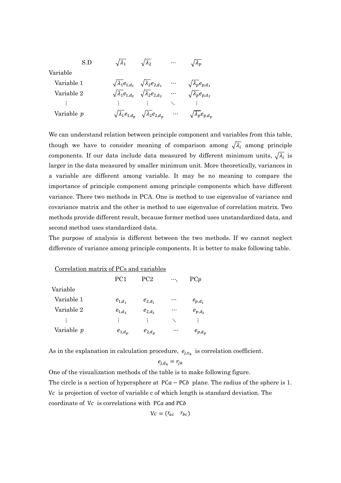S.D  $\sqrt{\lambda_1}$   $\sqrt{\lambda_2}$  …  $\sqrt{\lambda_p}$ 

Variable

| Variable 1                | $\sqrt{\lambda_1 e_{1,d_1}} \sqrt{\lambda_2 e_{2,d_1}} \cdots$ |          | $\sqrt{\lambda}_{p}e_{p,d_{1}}$ |
|---------------------------|----------------------------------------------------------------|----------|---------------------------------|
| Variable 2                | $\sqrt{\lambda_1e_{1,d_2}} \sqrt{\lambda_2e_{2,d_2}}$          | $\ldots$ | $\sqrt{\lambda_p}e_{p,d_2}$     |
| $\mathcal{L}=\frac{1}{2}$ | 电子电子 医单位 医心包                                                   |          | $\sim 1000$ km s $^{-1}$        |
| Variable p                | $\sqrt{\lambda_1}e_{1,d_p}$ $\sqrt{\lambda_2}e_{2,d_p}$        |          | $\sqrt{\lambda_p}e_{p,d_p}$     |

We can understand relation between principle component and variables from this table, though we have to consider meaning of comparison among  $\sqrt{\lambda_i}$  among principle components. If our data include data measured by different minimum units,  $\sqrt{\lambda_i}$  is larger in the data measured by smaller minimum unit. More theoretically, variances in a variable are different among variable. It may be no meaning to compare the importance of principle component among principle components which have different variance. There two methods in PCA. One is method to use eigenvalue of variance and covariance matrix and the other is method to use eigenvalue of correlation matrix. Two methods provide different result, because former method uses unstandardized data, and second method uses standardized data.

The purpose of analysis is different between the two methods. If we cannot neglect difference of variance among principle components. It is better to make following table.

 Correlation matrix of PCs and variables  $PC1$   $PC2$  …,  $PCp$  Variable Variable 1  $e_{1,d_1}$  $e_{2,d_1}$  $e_{p,d_1}$ Variable 2  $e_{1,d_2}$  $e_{2,d_2}$  $\cdots$   $e_{p,d}$  ⋮ ⋮ ⋮ ⋱ ⋮ Variable  $p$   $e_{1,d_p}$  $e_{2,d_n}$  $\cdots$   $e_{p,d_n}$ 

As in the explanation in calculation procedure,  $e_{j,x_k}$  is correlation coefficient.

$$
e_{j,d_k}=r_{jk}\,
$$

One of the visualization methods of the table is to make following figure. The circle is a section of hypersphere at  $PCa - PCb$  plane. The radius of the sphere is 1. V<sub>c</sub> is projection of vector of variable c of which length is standard deviation. The coordinate of  $Vc$  is correlations with PC $a$  and PC $b$ 

$$
Vc=(r_{ac} \quad r_{bc})
$$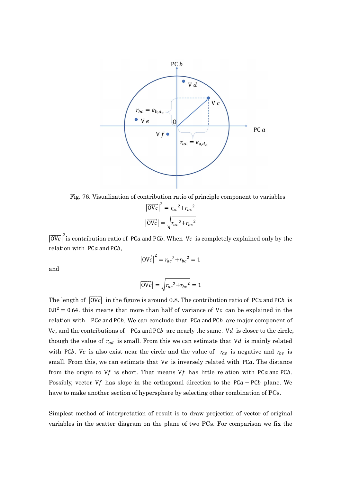

Fig. 76. Visualization of contribution ratio of principle component to variables  $|\overrightarrow{OVC}|^2 = r_{ac}^2 + r_{bc}^2$  $|\overrightarrow{OVc}| = \sqrt{r_{ac}^2 + r_{bc}^2}$ 

 $|\overrightarrow{OVC}|^2$  is contribution ratio of PCa and PCb. When Vc is completely explained only by the relation with  $PCa$  and  $PCb$ ,

$$
\left|\overrightarrow{\text{OVc}}\right|^2 = r_{ac}^2 + r_{bc}^2 = 1
$$

and

$$
\left|\overrightarrow{\text{OVc}}\right| = \sqrt{r_{ac}^2 + r_{bc}^2} = 1
$$

The length of  $|\overrightarrow{OVc}|$  in the figure is around 0.8. The contribution ratio of PCa and PCb is  $0.8<sup>2</sup> = 0.64$ . this means that more than half of variance of Vc can be explained in the relation with  $P$ Ca and PCb. We can conclude that  $P$ Ca and PCb are major component of Vc, and the contributions of  $PCa$  and  $PCb$  are nearly the same. Vd is closer to the circle, though the value of  $r_{ad}$  is small. From this we can estimate that Vd is mainly related with PCb. Ve is also exist near the circle and the value of  $r_{ae}$  is negative and  $r_{be}$  is small. From this, we can estimate that Ve is inversely related with PCa. The distance from the origin to Vf is short. That means Vf has little relation with PCa and PCb. Possibly, vector Vf has slope in the orthogonal direction to the PC $a$  – PCb plane. We have to make another section of hypersphere by selecting other combination of PCs.

Simplest method of interpretation of result is to draw projection of vector of original variables in the scatter diagram on the plane of two PCs. For comparison we fix the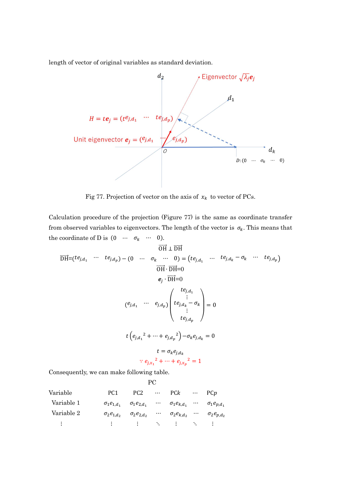length of vector of original variables as standard deviation.



Fig 77. Projection of vector on the axis of  $x_k$  to vector of PCs.

Calculation procedure of the projection (Figure 77) is the same as coordinate transfer from observed variables to eigenvectors. The length of the vector is  $\sigma_k$ . This means that the coordinate of D is  $(0 \cdots \sigma_k \cdots 0)$ .

$$
\overrightarrow{DH} = (te_{j,d_1} \cdots te_{j,d_p}) - (0 \cdots \sigma_k \cdots 0) = (te_{j,d_1} \cdots te_{j,d_k} - \sigma_k \cdots te_{j,d_p})
$$
\n
$$
\overrightarrow{OH} \cdot \overrightarrow{DH} = 0
$$
\n
$$
e_j \cdot \overrightarrow{DH} = 0
$$
\n
$$
e_j \cdot \overrightarrow{DH} = 0
$$
\n
$$
\vdots
$$
\n
$$
(e_{j,d_1} \cdots e_{j,d_p}) \begin{pmatrix} te_{j,d_1} \\ te_{j,d_k} \\ \vdots \\ te_{j,d_p} \end{pmatrix} = 0
$$
\n
$$
t \left(e_{j,d_1}^2 + \cdots + e_{j,d_p}^2\right) - \sigma_k e_{j,d_k} = 0
$$
\n
$$
t = \sigma_k e_{j,d_k}
$$
\n
$$
\therefore e_{j,x_1}^2 + \cdots + e_{j,x_p}^2 = 1
$$
\nConsequently, we can make following table.\n
$$
PC
$$

| Variable       | PC <sub>1</sub>     | PC <sub>2</sub>                               |          | $\cdots$ PCk                           | $\cdots$ PCp         |
|----------------|---------------------|-----------------------------------------------|----------|----------------------------------------|----------------------|
| Variable 1     |                     | $\sigma_1 e_{1,d_1} \quad \sigma_1 e_{2,d_1}$ |          | $\cdots$ $\sigma_1 e_{k,d_1}$ $\cdots$ | $\sigma_1 e_{p,d_1}$ |
| Variable 2     | $\sigma_2e_{1,d_2}$ | $\sigma_2 e_{2,d_2}$                          | $\cdots$ | $\sigma_2 e_{k,d_2}$                   | $\sigma_2 e_{p,d_2}$ |
| $\mathbb{R}^2$ |                     | 电子电子电子 医心包 医心包 医心包 医心脏                        |          |                                        |                      |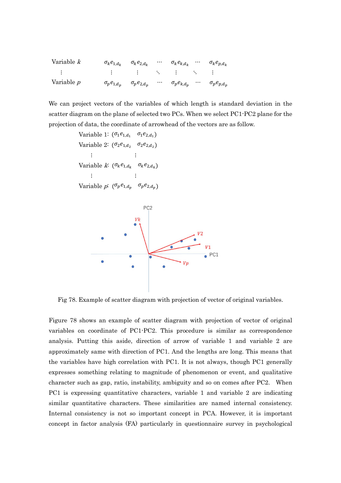| Variable k            | $\sigma_k e_{1,d_k}$ $\sigma_k e_{2,d_k}$ | $\cdots$ | $\sigma_k e_{k,d_k}$ | $\sigma_k e_{p,d_k}$ |
|-----------------------|-------------------------------------------|----------|----------------------|----------------------|
| and the first part of | 이 중에서 이 중에 있는 것이 없는 것 같아. 이 중에            |          |                      |                      |
| Variable p            | $\sigma_p e_{1,d_p}$ $\sigma_p e_{2,d_p}$ | $\cdots$ | $\sigma_p e_{k,d_p}$ | $\sigma_p e_{p,d_p}$ |

We can project vectors of the variables of which length is standard deviation in the scatter diagram on the plane of selected two PCs. When we select PC1-PC2 plane for the projection of data, the coordinate of arrowhead of the vectors are as follow.

Variable 1:  $(\sigma_1 e_{1,d_1} \quad \sigma_1 e_{2,d_1})$ Variable 2:  $(\sigma_2 e_{1,d_2} \quad \sigma_2 e_{2,d_2})$  ⋮ ⋮ Variable k:  $(\sigma_k e_{1,d_k} \quad \sigma_k e_{2,d_k})$  ⋮ ⋮ Variable *p*:  $(\sigma_p e_{1,d_p} \quad \sigma_p e_{2,d_p})$ 



Fig 78. Example of scatter diagram with projection of vector of original variables.

Figure 78 shows an example of scatter diagram with projection of vector of original variables on coordinate of PC1-PC2. This procedure is similar as correspondence analysis. Putting this aside, direction of arrow of variable 1 and variable 2 are approximately same with direction of PC1. And the lengths are long. This means that the variables have high correlation with PC1. It is not always, though PC1 generally expresses something relating to magnitude of phenomenon or event, and qualitative character such as gap, ratio, instability, ambiguity and so on comes after PC2. When PC1 is expressing quantitative characters, variable 1 and variable 2 are indicating similar quantitative characters. These similarities are named internal consistency. Internal consistency is not so important concept in PCA. However, it is important concept in factor analysis (FA) particularly in questionnaire survey in psychological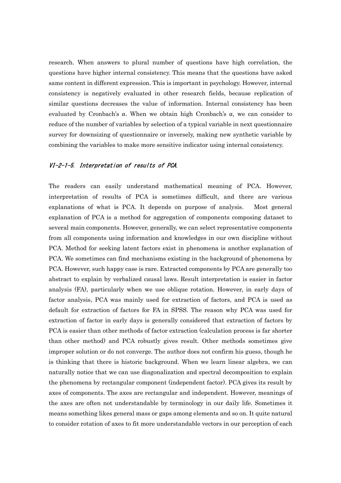research. When answers to plural number of questions have high correlation, the questions have higher internal consistency. This means that the questions have asked same content in different expression. This is important in psychology. However, internal consistency is negatively evaluated in other research fields, because replication of similar questions decreases the value of information. Internal consistency has been evaluated by Cronbach's  $\alpha$ . When we obtain high Cronbach's  $\alpha$ , we can consider to reduce of the number of variables by selection of a typical variable in next questionnaire survey for downsizing of questionnaire or inversely, making new synthetic variable by combining the variables to make more sensitive indicator using internal consistency.

## VI-2-1-5. Interpretation of results of PCA.

The readers can easily understand mathematical meaning of PCA. However, interpretation of results of PCA is sometimes difficult, and there are various explanations of what is PCA. It depends on purpose of analysis. Most general explanation of PCA is a method for aggregation of components composing dataset to several main components. However, generally, we can select representative components from all components using information and knowledges in our own discipline without PCA. Method for seeking latent factors exist in phenomena is another explanation of PCA. We sometimes can find mechanisms existing in the background of phenomena by PCA. However, such happy case is rare. Extracted components by PCA are generally too abstract to explain by verbalized causal laws. Result interpretation is easier in factor analysis (FA), particularly when we use oblique rotation. However, in early days of factor analysis, PCA was mainly used for extraction of factors, and PCA is used as default for extraction of factors for FA in SPSS. The reason why PCA was used for extraction of factor in early days is generally considered that extraction of factors by PCA is easier than other methods of factor extraction (calculation process is far shorter than other method) and PCA robustly gives result. Other methods sometimes give improper solution or do not converge. The author does not confirm his guess, though he is thinking that there is historic background. When we learn linear algebra, we can naturally notice that we can use diagonalization and spectral decomposition to explain the phenomena by rectangular component (independent factor). PCA gives its result by axes of components. The axes are rectangular and independent. However, meanings of the axes are often not understandable by terminology in our daily life. Sometimes it means something likes general mass or gaps among elements and so on. It quite natural to consider rotation of axes to fit more understandable vectors in our perception of each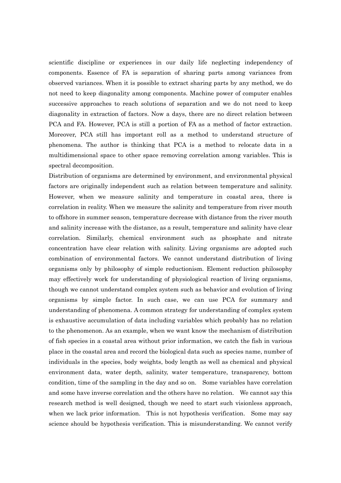scientific discipline or experiences in our daily life neglecting independency of components. Essence of FA is separation of sharing parts among variances from observed variances. When it is possible to extract sharing parts by any method, we do not need to keep diagonality among components. Machine power of computer enables successive approaches to reach solutions of separation and we do not need to keep diagonality in extraction of factors. Now a days, there are no direct relation between PCA and FA. However, PCA is still a portion of FA as a method of factor extraction. Moreover, PCA still has important roll as a method to understand structure of phenomena. The author is thinking that PCA is a method to relocate data in a multidimensional space to other space removing correlation among variables. This is spectral decomposition.

Distribution of organisms are determined by environment, and environmental physical factors are originally independent such as relation between temperature and salinity. However, when we measure salinity and temperature in coastal area, there is correlation in reality. When we measure the salinity and temperature from river mouth to offshore in summer season, temperature decrease with distance from the river mouth and salinity increase with the distance, as a result, temperature and salinity have clear correlation. Similarly, chemical environment such as phosphate and nitrate concentration have clear relation with salinity. Living organisms are adopted such combination of environmental factors. We cannot understand distribution of living organisms only by philosophy of simple reductionism. Element reduction philosophy may effectively work for understanding of physiological reaction of living organisms, though we cannot understand complex system such as behavior and evolution of living organisms by simple factor. In such case, we can use PCA for summary and understanding of phenomena. A common strategy for understanding of complex system is exhaustive accumulation of data including variables which probably has no relation to the phenomenon. As an example, when we want know the mechanism of distribution of fish species in a coastal area without prior information, we catch the fish in various place in the coastal area and record the biological data such as species name, number of individuals in the species, body weights, body length as well as chemical and physical environment data, water depth, salinity, water temperature, transparency, bottom condition, time of the sampling in the day and so on. Some variables have correlation and some have inverse correlation and the others have no relation. We cannot say this research method is well designed, though we need to start such visionless approach, when we lack prior information. This is not hypothesis verification. Some may say science should be hypothesis verification. This is misunderstanding. We cannot verify